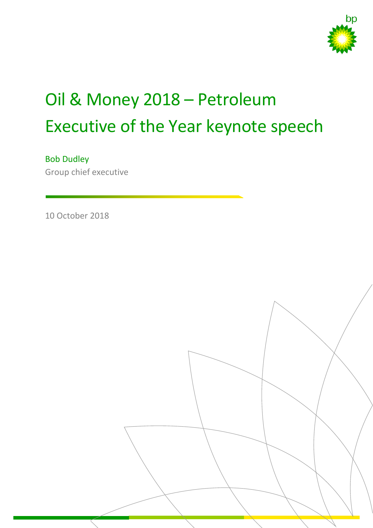

# Oil & Money 2018 – Petroleum Executive of the Year keynote speech

Bob Dudley

Group chief executive

10 October 2018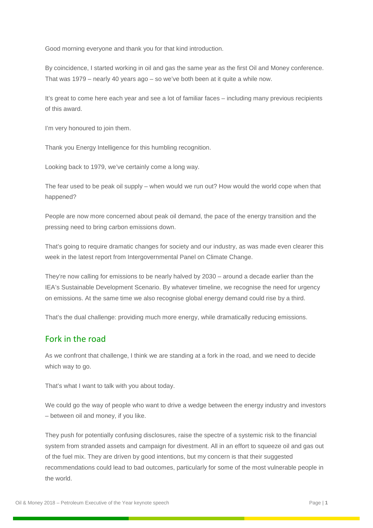Good morning everyone and thank you for that kind introduction.

By coincidence, I started working in oil and gas the same year as the first Oil and Money conference. That was 1979 – nearly 40 years ago – so we've both been at it quite a while now.

It's great to come here each year and see a lot of familiar faces – including many previous recipients of this award.

I'm very honoured to join them.

Thank you Energy Intelligence for this humbling recognition.

Looking back to 1979, we've certainly come a long way.

The fear used to be peak oil supply – when would we run out? How would the world cope when that happened?

People are now more concerned about peak oil demand, the pace of the energy transition and the pressing need to bring carbon emissions down.

That's going to require dramatic changes for society and our industry, as was made even clearer this week in the latest report from Intergovernmental Panel on Climate Change.

They're now calling for emissions to be nearly halved by 2030 – around a decade earlier than the IEA's Sustainable Development Scenario. By whatever timeline, we recognise the need for urgency on emissions. At the same time we also recognise global energy demand could rise by a third.

That's the dual challenge: providing much more energy, while dramatically reducing emissions.

#### Fork in the road

As we confront that challenge, I think we are standing at a fork in the road, and we need to decide which way to go.

That's what I want to talk with you about today.

We could go the way of people who want to drive a wedge between the energy industry and investors – between oil and money, if you like.

They push for potentially confusing disclosures, raise the spectre of a systemic risk to the financial system from stranded assets and campaign for divestment. All in an effort to squeeze oil and gas out of the fuel mix. They are driven by good intentions, but my concern is that their suggested recommendations could lead to bad outcomes, particularly for some of the most vulnerable people in the world.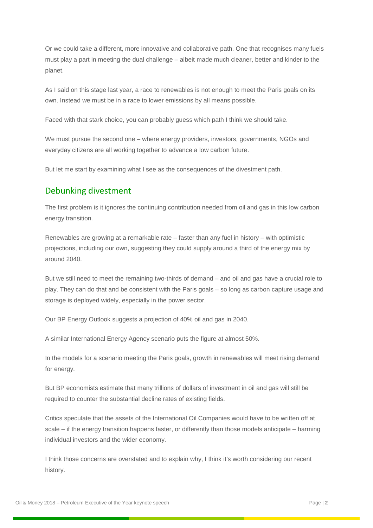Or we could take a different, more innovative and collaborative path. One that recognises many fuels must play a part in meeting the dual challenge – albeit made much cleaner, better and kinder to the planet.

As I said on this stage last year, a race to renewables is not enough to meet the Paris goals on its own. Instead we must be in a race to lower emissions by all means possible.

Faced with that stark choice, you can probably guess which path I think we should take.

We must pursue the second one – where energy providers, investors, governments, NGOs and everyday citizens are all working together to advance a low carbon future.

But let me start by examining what I see as the consequences of the divestment path.

## Debunking divestment

The first problem is it ignores the continuing contribution needed from oil and gas in this low carbon energy transition.

Renewables are growing at a remarkable rate – faster than any fuel in history – with optimistic projections, including our own, suggesting they could supply around a third of the energy mix by around 2040.

But we still need to meet the remaining two-thirds of demand – and oil and gas have a crucial role to play. They can do that and be consistent with the Paris goals – so long as carbon capture usage and storage is deployed widely, especially in the power sector.

Our BP Energy Outlook suggests a projection of 40% oil and gas in 2040.

A similar International Energy Agency scenario puts the figure at almost 50%.

In the models for a scenario meeting the Paris goals, growth in renewables will meet rising demand for energy.

But BP economists estimate that many trillions of dollars of investment in oil and gas will still be required to counter the substantial decline rates of existing fields.

Critics speculate that the assets of the International Oil Companies would have to be written off at scale – if the energy transition happens faster, or differently than those models anticipate – harming individual investors and the wider economy.

I think those concerns are overstated and to explain why, I think it's worth considering our recent history.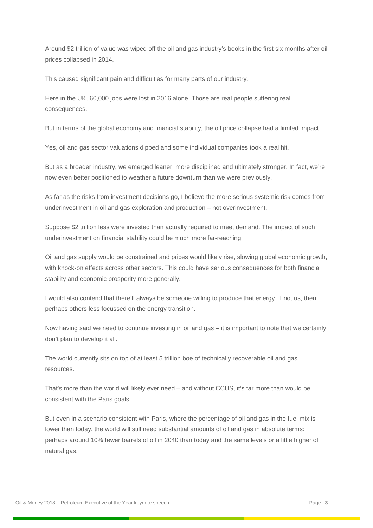Around \$2 trillion of value was wiped off the oil and gas industry's books in the first six months after oil prices collapsed in 2014.

This caused significant pain and difficulties for many parts of our industry.

Here in the UK, 60,000 jobs were lost in 2016 alone. Those are real people suffering real consequences.

But in terms of the global economy and financial stability, the oil price collapse had a limited impact.

Yes, oil and gas sector valuations dipped and some individual companies took a real hit.

But as a broader industry, we emerged leaner, more disciplined and ultimately stronger. In fact, we're now even better positioned to weather a future downturn than we were previously.

As far as the risks from investment decisions go, I believe the more serious systemic risk comes from underinvestment in oil and gas exploration and production – not overinvestment.

Suppose \$2 trillion less were invested than actually required to meet demand. The impact of such underinvestment on financial stability could be much more far-reaching.

Oil and gas supply would be constrained and prices would likely rise, slowing global economic growth, with knock-on effects across other sectors. This could have serious consequences for both financial stability and economic prosperity more generally.

I would also contend that there'll always be someone willing to produce that energy. If not us, then perhaps others less focussed on the energy transition.

Now having said we need to continue investing in oil and gas – it is important to note that we certainly don't plan to develop it all.

The world currently sits on top of at least 5 trillion boe of technically recoverable oil and gas resources.

That's more than the world will likely ever need – and without CCUS, it's far more than would be consistent with the Paris goals.

But even in a scenario consistent with Paris, where the percentage of oil and gas in the fuel mix is lower than today, the world will still need substantial amounts of oil and gas in absolute terms: perhaps around 10% fewer barrels of oil in 2040 than today and the same levels or a little higher of natural gas.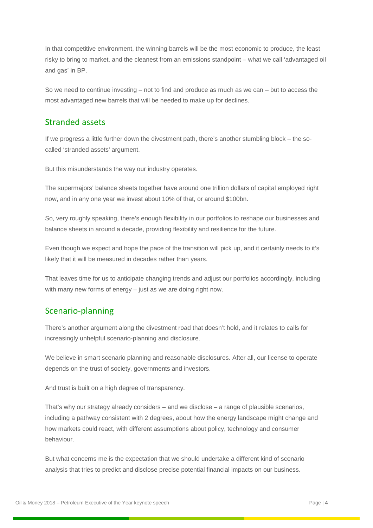In that competitive environment, the winning barrels will be the most economic to produce, the least risky to bring to market, and the cleanest from an emissions standpoint – what we call 'advantaged oil and gas' in BP.

So we need to continue investing – not to find and produce as much as we can – but to access the most advantaged new barrels that will be needed to make up for declines.

## Stranded assets

If we progress a little further down the divestment path, there's another stumbling block – the socalled 'stranded assets' argument.

But this misunderstands the way our industry operates.

The supermajors' balance sheets together have around one trillion dollars of capital employed right now, and in any one year we invest about 10% of that, or around \$100bn.

So, very roughly speaking, there's enough flexibility in our portfolios to reshape our businesses and balance sheets in around a decade, providing flexibility and resilience for the future.

Even though we expect and hope the pace of the transition will pick up, and it certainly needs to it's likely that it will be measured in decades rather than years.

That leaves time for us to anticipate changing trends and adjust our portfolios accordingly, including with many new forms of energy – just as we are doing right now.

### Scenario-planning

There's another argument along the divestment road that doesn't hold, and it relates to calls for increasingly unhelpful scenario-planning and disclosure.

We believe in smart scenario planning and reasonable disclosures. After all, our license to operate depends on the trust of society, governments and investors.

And trust is built on a high degree of transparency.

That's why our strategy already considers – and we disclose – a range of plausible scenarios, including a pathway consistent with 2 degrees, about how the energy landscape might change and how markets could react, with different assumptions about policy, technology and consumer behaviour.

But what concerns me is the expectation that we should undertake a different kind of scenario analysis that tries to predict and disclose precise potential financial impacts on our business.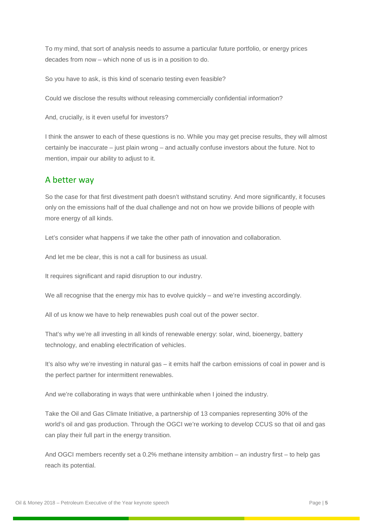To my mind, that sort of analysis needs to assume a particular future portfolio, or energy prices decades from now – which none of us is in a position to do.

So you have to ask, is this kind of scenario testing even feasible?

Could we disclose the results without releasing commercially confidential information?

And, crucially, is it even useful for investors?

I think the answer to each of these questions is no. While you may get precise results, they will almost certainly be inaccurate – just plain wrong – and actually confuse investors about the future. Not to mention, impair our ability to adjust to it.

#### A better way

So the case for that first divestment path doesn't withstand scrutiny. And more significantly, it focuses only on the emissions half of the dual challenge and not on how we provide billions of people with more energy of all kinds.

Let's consider what happens if we take the other path of innovation and collaboration.

And let me be clear, this is not a call for business as usual.

It requires significant and rapid disruption to our industry.

We all recognise that the energy mix has to evolve quickly – and we're investing accordingly.

All of us know we have to help renewables push coal out of the power sector.

That's why we're all investing in all kinds of renewable energy: solar, wind, bioenergy, battery technology, and enabling electrification of vehicles.

It's also why we're investing in natural gas – it emits half the carbon emissions of coal in power and is the perfect partner for intermittent renewables.

And we're collaborating in ways that were unthinkable when I joined the industry.

Take the Oil and Gas Climate Initiative, a partnership of 13 companies representing 30% of the world's oil and gas production. Through the OGCI we're working to develop CCUS so that oil and gas can play their full part in the energy transition.

And OGCI members recently set a 0.2% methane intensity ambition – an industry first – to help gas reach its potential.